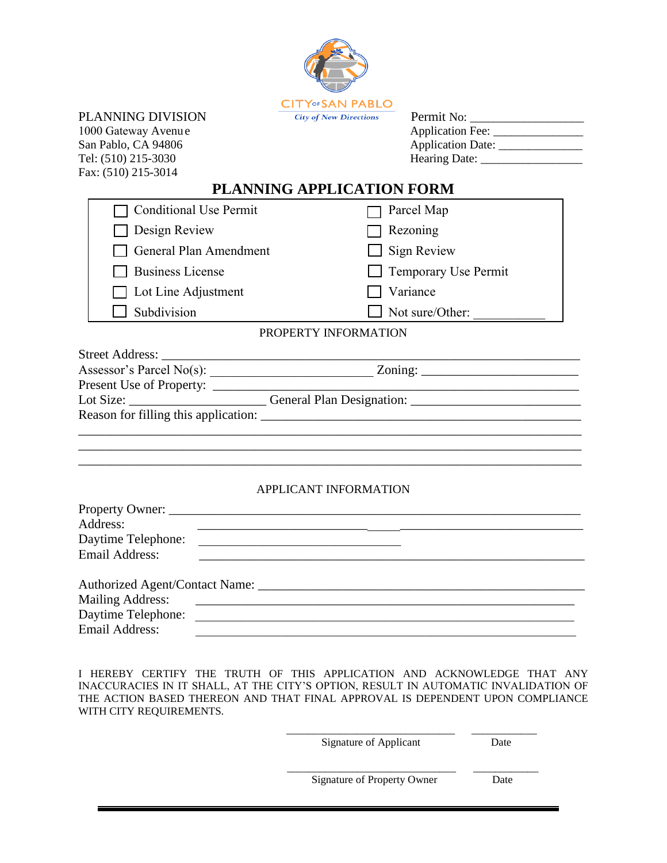

PLANNING DIVISION 1000 Gateway Avenu e San Pablo, CA 94806 Tel: (510) 215-3030 Fax: (510) 215-3014

Permit No: Application Fee: \_\_\_\_\_\_\_\_\_\_\_\_\_\_\_ Application Date: \_\_\_\_\_\_\_\_\_\_\_\_\_\_ Hearing Date: \_\_\_\_\_\_\_\_\_\_\_\_\_\_\_\_\_

## **PLANNING APPLICATION FORM**

|                                                                                                      | <b>Conditional Use Permit</b> | Parcel Map                  |  |
|------------------------------------------------------------------------------------------------------|-------------------------------|-----------------------------|--|
|                                                                                                      | $\Box$ Design Review          | Rezoning                    |  |
|                                                                                                      | General Plan Amendment        | Sign Review                 |  |
|                                                                                                      | <b>Business License</b>       | <b>Temporary Use Permit</b> |  |
|                                                                                                      | $\Box$ Lot Line Adjustment    | Variance                    |  |
|                                                                                                      | Subdivision                   | Not sure/Other:             |  |
|                                                                                                      |                               | PROPERTY INFORMATION        |  |
|                                                                                                      |                               |                             |  |
|                                                                                                      |                               |                             |  |
|                                                                                                      |                               |                             |  |
| Lot Size: _______________________________General Plan Designation: _________________________________ |                               |                             |  |
| Reason for filling this application:                                                                 |                               |                             |  |

## APPLICANT INFORMATION

\_\_\_\_\_\_\_\_\_\_\_\_\_\_\_\_\_\_\_\_\_\_\_\_\_\_\_\_\_\_\_\_\_\_\_\_\_\_\_\_\_\_\_\_\_\_\_\_\_\_\_\_\_\_\_\_\_\_\_\_\_\_\_\_\_\_\_\_\_\_\_\_\_\_\_\_\_ \_\_\_\_\_\_\_\_\_\_\_\_\_\_\_\_\_\_\_\_\_\_\_\_\_\_\_\_\_\_\_\_\_\_\_\_\_\_\_\_\_\_\_\_\_\_\_\_\_\_\_\_\_\_\_\_\_\_\_\_\_\_\_\_\_\_\_\_\_\_\_\_\_\_\_\_\_

| Address:                |                                                                                                                      |  |  |  |
|-------------------------|----------------------------------------------------------------------------------------------------------------------|--|--|--|
| Daytime Telephone:      |                                                                                                                      |  |  |  |
| Email Address:          |                                                                                                                      |  |  |  |
|                         |                                                                                                                      |  |  |  |
|                         |                                                                                                                      |  |  |  |
| <b>Mailing Address:</b> | <u> Alexandria de la contrada de la contrada de la contrada de la contrada de la contrada de la contrada de la c</u> |  |  |  |
| Daytime Telephone:      |                                                                                                                      |  |  |  |
| Email Address:          |                                                                                                                      |  |  |  |

I HEREBY CERTIFY THE TRUTH OF THIS APPLICATION AND ACKNOWLEDGE THAT ANY INACCURACIES IN IT SHALL, AT THE CITY'S OPTION, RESULT IN AUTOMATIC INVALIDATION OF THE ACTION BASED THEREON AND THAT FINAL APPROVAL IS DEPENDENT UPON COMPLIANCE WITH CITY REQUIREMENTS.

Signature of Applicant Date

\_\_\_\_\_\_\_\_\_\_\_\_\_\_\_\_\_\_\_\_\_\_\_\_\_\_\_\_\_\_\_ \_\_\_\_\_\_\_\_\_\_\_\_

Signature of Property Owner Date

\_\_\_\_\_\_\_\_\_\_\_\_\_\_\_\_\_\_\_\_\_\_\_\_\_\_\_\_\_\_\_ \_\_\_\_\_\_\_\_\_\_\_\_